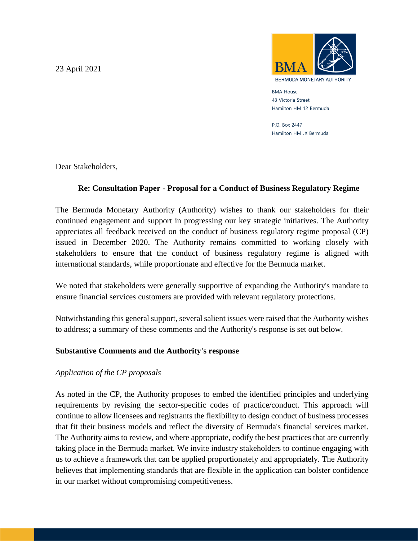23 April 2021



BMA House 43 Victoria Street Hamilton HM 12 Bermuda

P.O. Box 2447 Hamilton HM JX Bermuda

Dear Stakeholders,

# **Re: Consultation Paper - Proposal for a Conduct of Business Regulatory Regime**

The Bermuda Monetary Authority (Authority) wishes to thank our stakeholders for their continued engagement and support in progressing our key strategic initiatives. The Authority appreciates all feedback received on the conduct of business regulatory regime proposal (CP) issued in December 2020. The Authority remains committed to working closely with stakeholders to ensure that the conduct of business regulatory regime is aligned with international standards, while proportionate and effective for the Bermuda market.

We noted that stakeholders were generally supportive of expanding the Authority's mandate to ensure financial services customers are provided with relevant regulatory protections.

Notwithstanding this general support, several salient issues were raised that the Authority wishes to address; a summary of these comments and the Authority's response is set out below.

## **Substantive Comments and the Authority's response**

## *Application of the CP proposals*

As noted in the CP, the Authority proposes to embed the identified principles and underlying requirements by revising the sector-specific codes of practice/conduct. This approach will continue to allow licensees and registrants the flexibility to design conduct of business processes that fit their business models and reflect the diversity of Bermuda's financial services market. The Authority aims to review, and where appropriate, codify the best practices that are currently taking place in the Bermuda market. We invite industry stakeholders to continue engaging with us to achieve a framework that can be applied proportionately and appropriately. The Authority believes that implementing standards that are flexible in the application can bolster confidence in our market without compromising competitiveness.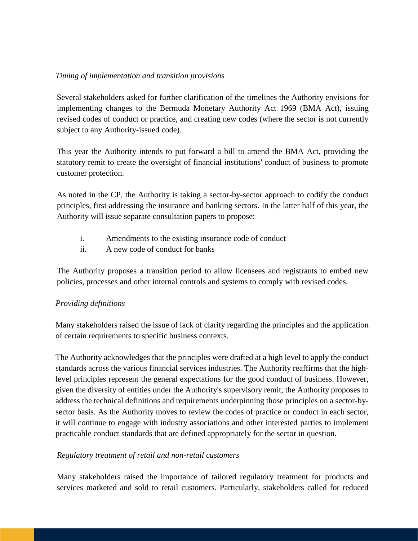### *Timing of implementation and transition provisions*

Several stakeholders asked for further clarification of the timelines the Authority envisions for implementing changes to the Bermuda Monetary Authority Act 1969 (BMA Act), issuing revised codes of conduct or practice, and creating new codes (where the sector is not currently subject to any Authority-issued code).

This year the Authority intends to put forward a bill to amend the BMA Act, providing the statutory remit to create the oversight of financial institutions' conduct of business to promote customer protection.

As noted in the CP, the Authority is taking a sector-by-sector approach to codify the conduct principles, first addressing the insurance and banking sectors. In the latter half of this year, the Authority will issue separate consultation papers to propose:

- i. Amendments to the existing insurance code of conduct
- ii. A new code of conduct for banks

The Authority proposes a transition period to allow licensees and registrants to embed new policies, processes and other internal controls and systems to comply with revised codes.

## *Providing definitions*

Many stakeholders raised the issue of lack of clarity regarding the principles and the application of certain requirements to specific business contexts.

The Authority acknowledges that the principles were drafted at a high level to apply the conduct standards across the various financial services industries. The Authority reaffirms that the highlevel principles represent the general expectations for the good conduct of business. However, given the diversity of entities under the Authority's supervisory remit, the Authority proposes to address the technical definitions and requirements underpinning those principles on a sector-bysector basis. As the Authority moves to review the codes of practice or conduct in each sector, it will continue to engage with industry associations and other interested parties to implement practicable conduct standards that are defined appropriately for the sector in question.

## *Regulatory treatment of retail and non-retail customers*

Many stakeholders raised the importance of tailored regulatory treatment for products and services marketed and sold to retail customers. Particularly, stakeholders called for reduced